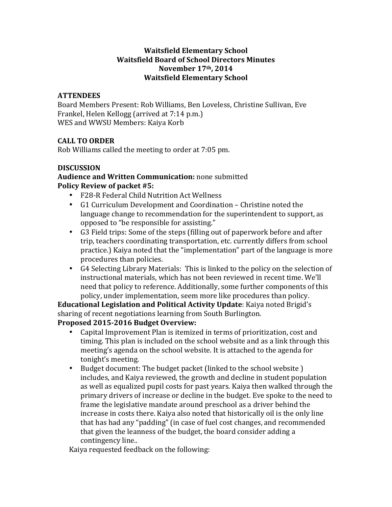## **Waitsfield\*Elementary\*School Waitsfield\*Board\*of\*School\*Directors\*Minutes November\*17th,\*2014 Waitsfield\*Elementary\*School**

## **ATTENDEES**

Board Members Present: Rob Williams, Ben Loveless, Christine Sullivan, Eve Frankel, Helen Kellogg (arrived at 7:14 p.m.) WES and WWSU Members: Kaiya Korb

# **CALL\*TO\*ORDER**

Rob Williams called the meeting to order at 7:05 pm.

# **DISCUSSION**

#### **Audience and Written Communication:** none submitted **Policy Review of packet #5:**

- F28-R Federal Child Nutrition Act Wellness
- G1 Curriculum Development and Coordination Christine noted the language change to recommendation for the superintendent to support, as opposed to "be responsible for assisting."
- G3 Field trips: Some of the steps (filling out of paperwork before and after trip, teachers coordinating transportation, etc. currently differs from school practice.) Kaiya noted that the "implementation" part of the language is more procedures than policies.
- G4 Selecting Library Materials: This is linked to the policy on the selection of instructional materials, which has not been reviewed in recent time. We'll need that policy to reference. Additionally, some further components of this policy, under implementation, seem more like procedures than policy.

**Educational Legislation and Political Activity Update: Kaiya noted Brigid's** sharing of recent negotiations learning from South Burlington. Proposed 2015-2016 Budget Overview:

- Capital Improvement Plan is itemized in terms of prioritization, cost and timing. This plan is included on the school website and as a link through this meeting's agenda on the school website. It is attached to the agenda for tonight's meeting.
- Budget document: The budget packet (linked to the school website ) includes, and Kaiya reviewed, the growth and decline in student population as well as equalized pupil costs for past years. Kaiya then walked through the primary drivers of increase or decline in the budget. Eve spoke to the need to frame the legislative mandate around preschool as a driver behind the increase in costs there. Kaiya also noted that historically oil is the only line that has had any "padding" (in case of fuel cost changes, and recommended that given the leanness of the budget, the board consider adding a contingency line..

Kaiya requested feedback on the following: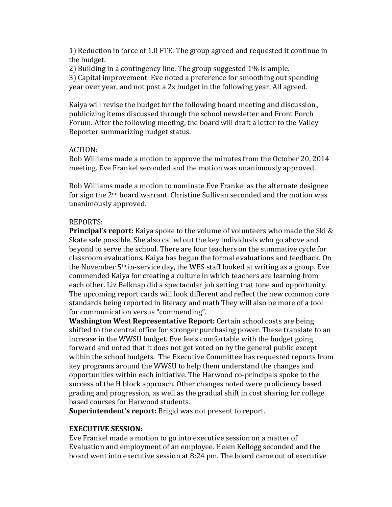1) Reduction in force of 1.0 FTE. The group agreed and requested it continue in the budget.

2) Building in a contingency line. The group suggested  $1\%$  is ample.

3) Capital improvement: Eve noted a preference for smoothing out spending year over year, and not post a 2x budget in the following year. All agreed.

Kaiya will revise the budget for the following board meeting and discussion., publicizing items discussed through the school newsletter and Front Porch Forum. After the following meeting, the board will draft a letter to the Valley Reporter summarizing budget status.

#### ACTION:

Rob Williams made a motion to approve the minutes from the October 20, 2014 meeting. Eve Frankel seconded and the motion was unanimously approved.

Rob Williams made a motion to nominate Eve Frankel as the alternate designee for sign the  $2<sup>nd</sup>$  board warrant. Christine Sullivan seconded and the motion was unanimously!approved.

# REPORTS:

**Principal's report:** Kaiya spoke to the volume of volunteers who made the Ski & Skate sale possible. She also called out the key individuals who go above and beyond to serve the school. There are four teachers on the summative cycle for classroom evaluations. Kaiya has begun the formal evaluations and feedback. On the November  $5<sup>th</sup>$  in-service day, the WES staff looked at writing as a group. Eve commended Kaiya for creating a culture in which teachers are learning from each other. Liz Belknap did a spectacular job setting that tone and opportunity. The upcoming report cards will look different and reflect the new common core standards being reported in literacy and math They will also be more of a tool for communication versus "commending".

**Washington West Representative Report:** Certain school costs are being shifted to the central office for stronger purchasing power. These translate to an increase in the WWSU budget. Eve feels comfortable with the budget going forward and noted that it does not get voted on by the general public except within the school budgets. The Executive Committee has requested reports from key programs around the WWSU to help them understand the changes and opportunities within each initiative. The Harwood co-principals spoke to the success of the H block approach. Other changes noted were proficiency based grading and progression, as well as the gradual shift in cost sharing for college based courses for Harwood students.

**Superintendent's report:** Brigid was not present to report.

# **EXECUTIVE SESSION:**

Eve Frankel made a motion to go into executive session on a matter of Evaluation and employment of an employee. Helen Kellogg seconded and the board went into executive session at 8:24 pm. The board came out of executive